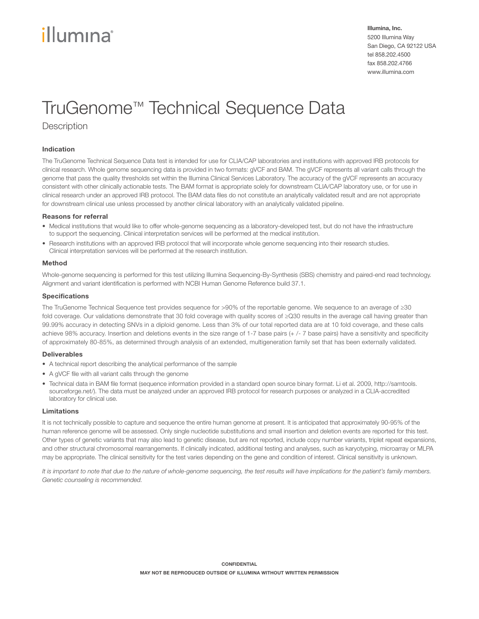# illumına

Illumina, Inc. 5200 Illumina Way San Diego, CA 92122 USA tel 858.202.4500 fax 858.202.4766 www.illumina.com

# TruGenome™ Technical Sequence Data

# **Description**

# Indication

The TruGenome Technical Sequence Data test is intended for use for CLIA/CAP laboratories and institutions with approved IRB protocols for clinical research. Whole genome sequencing data is provided in two formats: gVCF and BAM. The gVCF represents all variant calls through the genome that pass the quality thresholds set within the Illumina Clinical Services Laboratory. The accuracy of the gVCF represents an accuracy consistent with other clinically actionable tests. The BAM format is appropriate solely for downstream CLIA/CAP laboratory use, or for use in clinical research under an approved IRB protocol. The BAM data files do not constitute an analytically validated result and are not appropriate for downstream clinical use unless processed by another clinical laboratory with an analytically validated pipeline.

#### Reasons for referral

- Medical institutions that would like to offer whole-genome sequencing as a laboratory-developed test, but do not have the infrastructure to support the sequencing. Clinical interpretation services will be performed at the medical institution.
- Research institutions with an approved IRB protocol that will incorporate whole genome sequencing into their research studies. Clinical interpretation services will be performed at the research institution.

#### Method

Whole-genome sequencing is performed for this test utilizing Illumina Sequencing-By-Synthesis (SBS) chemistry and paired-end read technology. Alignment and variant identification is performed with NCBI Human Genome Reference build 37.1.

#### Specifications

The TruGenome Technical Sequence test provides sequence for >90% of the reportable genome. We sequence to an average of ≥30 fold coverage. Our validations demonstrate that 30 fold coverage with quality scores of ≥Q30 results in the average call having greater than 99.99% accuracy in detecting SNVs in a diploid genome. Less than 3% of our total reported data are at 10 fold coverage, and these calls achieve 98% accuracy. Insertion and deletions events in the size range of 1-7 base pairs (+ /- 7 base pairs) have a sensitivity and specificity of approximately 80-85%, as determined through analysis of an extended, multigeneration family set that has been externally validated.

#### Deliverables

- A technical report describing the analytical performance of the sample
- A gVCF file with all variant calls through the genome
- Technical data in BAM file format (sequence information provided in a standard open source binary format. Li et al. 2009, [http://samtools.](http://samtools.sourceforge.net/) [sourceforge.net/\)](http://samtools.sourceforge.net/). The data must be analyzed under an approved IRB protocol for research purposes or analyzed in a CLIA-accredited laboratory for clinical use.

#### Limitations

It is not technically possible to capture and sequence the entire human genome at present. It is anticipated that approximately 90-95% of the human reference genome will be assessed. Only single nucleotide substitutions and small insertion and deletion events are reported for this test. Other types of genetic variants that may also lead to genetic disease, but are not reported, include copy number variants, triplet repeat expansions, and other structural chromosomal rearrangements. If clinically indicated, additional testing and analyses, such as karyotyping, microarray or MLPA may be appropriate. The clinical sensitivity for the test varies depending on the gene and condition of interest. Clinical sensitivity is unknown.

*It is important to note that due to the nature of whole-genome sequencing, the test results will have implications for the patient's family members. Genetic counseling is recommended.*